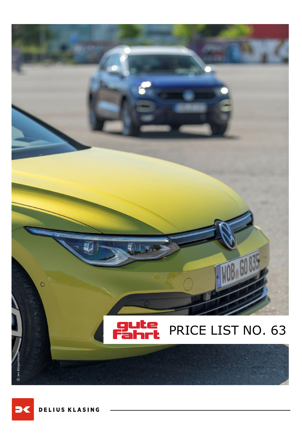

**D**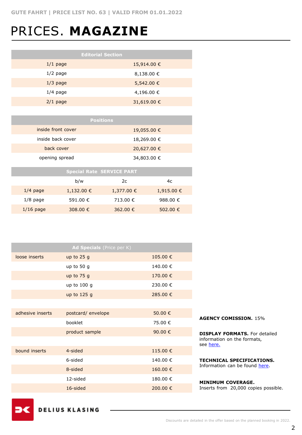# PRICES. **MAGAZINE**

| <b>Editorial Section</b> |                |  |  |  |
|--------------------------|----------------|--|--|--|
| $1/1$ page               | 15,914.00 €    |  |  |  |
| $1/2$ page               | $8,138.00 \in$ |  |  |  |
| $1/3$ page               | 5,542.00 €     |  |  |  |
| $1/4$ page               | 4,196.00 €     |  |  |  |
| $2/1$ page               | 31,619.00 €    |  |  |  |

| <b>Positions</b>   |             |  |  |  |
|--------------------|-------------|--|--|--|
| inside front cover | 19,055.00 € |  |  |  |
| inside back cover  | 18,269.00 € |  |  |  |
| back cover         | 20,627.00 € |  |  |  |
| opening spread     | 34,803.00 € |  |  |  |

| <b>Special Rate SERVICE PART</b> |                |            |            |  |
|----------------------------------|----------------|------------|------------|--|
|                                  | b/w            | 2c         | 4c         |  |
| $1/4$ page                       | $1,132.00 \in$ | 1,377.00 € | 1,915.00 € |  |
| $1/8$ page                       | 591.00 €       | 713.00 €   | 988.00 €   |  |
| $1/16$ page                      | 308.00 €       | 362.00 €   | 502.00 €   |  |

| Ad Specials (Price per K) |                    |          |  |  |
|---------------------------|--------------------|----------|--|--|
| loose inserts             | up to $25g$        | 105.00€  |  |  |
|                           | up to 50 $g$       | 140.00 € |  |  |
|                           | up to $75g$        | 170.00 € |  |  |
|                           | up to $100g$       | 230.00 € |  |  |
|                           | up to 125 g        | 285.00 € |  |  |
|                           |                    |          |  |  |
| adhesive inserts          | postcard/ envelope | 50,00 €  |  |  |
|                           | booklet            | 75.00 €  |  |  |
|                           | product sample     | 90.00 €  |  |  |
|                           |                    |          |  |  |
| bound inserts             | 4-sided            | 115.00 € |  |  |
|                           | 6-sided            | 140.00 € |  |  |
|                           | 8-sided            | 160.00€  |  |  |
|                           | 12-sided           | 180.00 € |  |  |
|                           | 16-sided           | 200.00 € |  |  |

#### **AGENCY COMISSION.** 15%

**DISPLAY FORMATS.** For detailed information on the formats, see [here.](https://www.dk-mediasales.de/print-formate)

**TECHNICAL SPECIFICATIONS.**  Information can be found [here.](https://www.dk-mediasales.de/spezifikationen-print)

#### **MINIMUM COVERAGE.**

Inserts from 20,000 copies possible.

**DELIUS KLASING**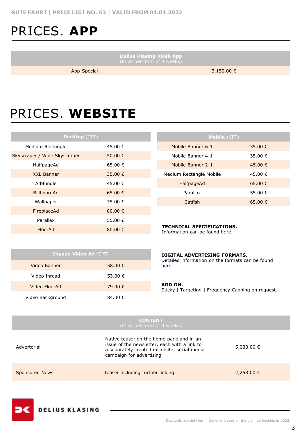# PRICES. **APP**

**Delius Klasing Kiosk App**

 $\overline{\phantom{a}}$ 

App-Special 3,150.00 €

# PRICES. **WEBSITE**

| Desktop (CPT)                |                  |  |  |  |
|------------------------------|------------------|--|--|--|
| Medium Rectangle             | 45.00 €          |  |  |  |
| Skyscraper / Wide Skyscraper | 50.00 €          |  |  |  |
| HalfpageAd                   | 65.00€           |  |  |  |
| <b>XXL Banner</b>            | 35.00 €          |  |  |  |
| AdBundle                     | 45.00 €          |  |  |  |
| <b>BillboardAd</b>           | 65.00 €          |  |  |  |
| Wallpaper                    | 75.00 €          |  |  |  |
| FireplaceAd                  | 80.00 $\in$      |  |  |  |
| Parallax                     | 55.00 €          |  |  |  |
| FloorAd                      | 80.00 $\epsilon$ |  |  |  |

| <b>Mobile</b> (CPT)     |         |  |  |  |  |
|-------------------------|---------|--|--|--|--|
| Mobile Banner 6:1       | 35.00 € |  |  |  |  |
| Mobile Banner 4:1       | 35.00 € |  |  |  |  |
| Mobile Banner 2:1       | 45.00 € |  |  |  |  |
| Medium Rectangle Mobile | 45.00 € |  |  |  |  |
| HalfpageAd              | 65.00 € |  |  |  |  |
| Parallax                | 55.00 € |  |  |  |  |
| Catfish                 | 65.00 € |  |  |  |  |

#### **TECHNICAL SPECIFICATIONS.**

Information can be found [here](https://www.dk-mediasales.de/spezifikationen-digital).

| <b>Inpage Video Ad (CPT)</b> |         |  |  |
|------------------------------|---------|--|--|
| Video Banner                 | 58.00 € |  |  |
| Video Inread                 | 53.00 € |  |  |
| Video FloorAd                | 79.00 € |  |  |
| Video Background             | 84.00 € |  |  |

#### **DIGITAL ADVERTISING FORMATS.**

Detailed information on the formats can be found [here.](https://www.dk-mediasales.de/digital-formate)

#### **ADD ON.**

Sticky | Targeting | Frequency Capping on request.

| <b>CONTENT</b><br>(Price per term of 4 weeks) |                                                                                                                                                                      |            |  |  |
|-----------------------------------------------|----------------------------------------------------------------------------------------------------------------------------------------------------------------------|------------|--|--|
| Advertorial                                   | Native teaser on the home page and in an<br>issue of the newsletter, each with a link to<br>a separately created microsite, social media<br>campaign for advertising | 5,033.00 € |  |  |
| <b>Sponsored News</b>                         | teaser including further linking                                                                                                                                     | 2,258.00 € |  |  |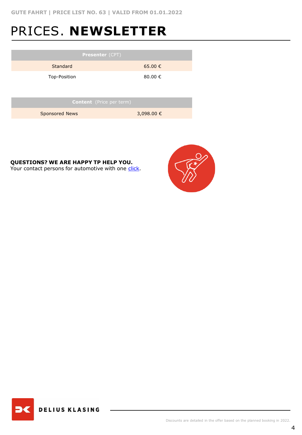# PRICES. **NEWSLETTER**

| <b>Presenter (CPT)</b>   |             |  |  |  |  |
|--------------------------|-------------|--|--|--|--|
| Standard                 | $65.00 \in$ |  |  |  |  |
| Top-Position             | 80,00 €     |  |  |  |  |
|                          |             |  |  |  |  |
| Content (Price per term) |             |  |  |  |  |
| Sponsored News           | 3,098.00 €  |  |  |  |  |

**QUESTIONS? WE ARE HAPPY TP HELP YOU.**

Your contact persons for automotive with one [click](https://www.dk-mediasales.de/kontakt-automobil).



**DELIUS KLASING**